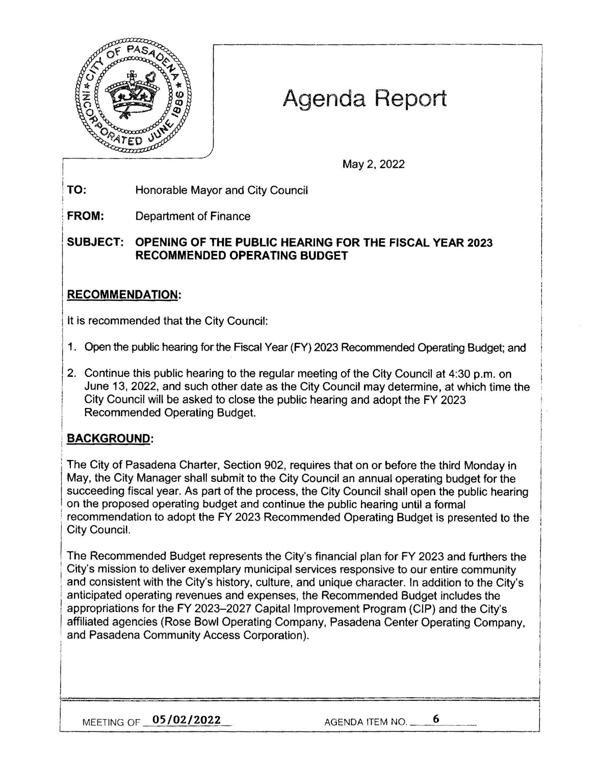

# **Agenda Report**

May 2, 2022

l !<br>!<br>!

**TO:**  Honorable Mayor and City Council

**FROM:**  Department of Finance

**SUBJECT: OPENING OF THE PUBLIC HEARING FOR THE FISCAL YEAR 2023 RECOMMENDED OPERA TING BUDGET** 

# I **RECOMMENDATION:**

It is recommended that the City Council:

- 1. Open the public hearing for the Fiscal Year (FY) 2023 Recommended Operating Budget; and
- 2. Continue this public hearing to the regular meeting of the City Council at 4:30 p.m. on June 13, 2022, and such other date as the City Council may determine, at which time the City Council will be asked to close the public hearing and adopt the FY 2023 Recommended Operating Budget.

# **BACKGROUND:**

I

!

The City of Pasadena Charter, Section 902, requires that on or before the third Monday in May, the City Manager shall submit to the City Council an annual operating budget for the succeeding fiscal year. As part of the process, the City Council shall open the public hearing • on the proposed operating budget and continue the public hearing until a formal recommendation to adopt the FY 2023 Recommended Operating Budget is presented to the City Council.

The Recommended Budget represents the City's financial plan for FY 2023 and furthers the<br>City's mission to deliver exemplary municipal services responsive to our entire community and consistent with the City's history, culture, and unique character. In addition to the City's anticipated operating revenues and expenses, the Recommended Budget includes the appropriations for the FY 2023-2027 Capital Improvement Program (CIP) and the City's affiliated agencies (Rose Bowl Operating Company, Pasadena Center Operating Company, and Pasadena Community Access Corporation).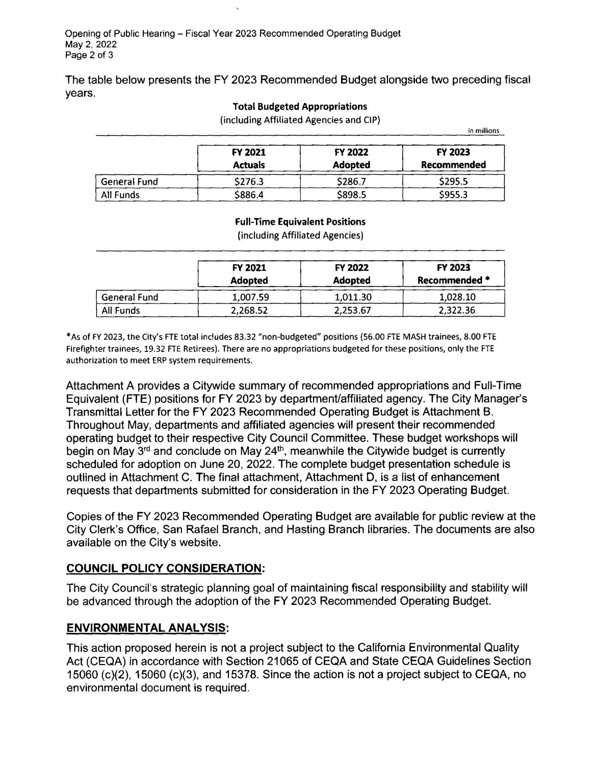The table below presents the FY 2023 Recommended Budget alongside two preceding fiscal years.

#### **Total Budgeted Appropriations**

(including Affiliated Agencies and CIP}

in millions

|                  | <b>FY 2021</b><br><b>Actuals</b> | FY 2022<br><b>Adopted</b> | FY 2023<br>Recommended |
|------------------|----------------------------------|---------------------------|------------------------|
| General Fund     | \$276.3                          | \$286.7                   | \$295.5                |
| <b>All Funds</b> | \$886.4                          | \$898.5                   | \$955.3                |

#### **Full-Time Equivalent Positions**

(including Affiliated Agencies)

|                     | FY 2021<br>Adopted | <b>FY 2022</b><br><b>Adopted</b> | FY 2023<br>Recommended * |
|---------------------|--------------------|----------------------------------|--------------------------|
| <b>General Fund</b> | 1,007.59           | 1,011.30                         | 1,028.10                 |
| All Funds           | 2,268.52           | 2,253.67                         | 2,322.36                 |

\* As of FY 2023, the City's FTE total includes 83.32 "non-budgeted" positions (56.00 FTE MASH trainees, 8.00 FTE Firefighter trainees, 19.32 FTE Retirees). There are no appropriations budgeted for these positions, only the FTE authorization to meet ERP system requirements.

Attachment A provides a Citywide summary of recommended appropriations and Full-Time Equivalent (FTE) positions for FY 2023 by departmenVaffiliated agency. The City Manager's Transmittal Letter for the FY 2023 Recommended Operating Budget is Attachment B. Throughout May, departments and affiliated agencies will present their recommended operating budget to their respective City Council Committee. These budget workshops will begin on May 3<sup>rd</sup> and conclude on May 24<sup>th</sup>, meanwhile the Citywide budget is currently scheduled for adoption on June 20, 2022. The complete budget presentation schedule is outlined in Attachment C. The final attachment, Attachment D, is a list of enhancement requests that departments submitted for consideration in the FY 2023 Operating Budget.

Copies of the FY 2023 Recommended Operating Budget are available for public review at the City Clerk's Office, San Rafael Branch, and Hasting Branch libraries. The documents are also available on the City's website.

## **COUNCIL POLICY CONSIDERATION:**

The City Council's strategic planning goal of maintaining fiscal responsibility and stability will be advanced through the adoption of the FY 2023 Recommended Operating Budget.

## **ENVIRONMENTAL ANALYSIS:**

This action proposed herein is not a project subject to the California Environmental Quality Act (CEQA) in accordance with Section 21065 of CEQA and State CEQA Guidelines Section 15060 (c)(2), 15060 (c)(3), and 15378. Since the action is not a project subject to CEQA, no environmental document is required.